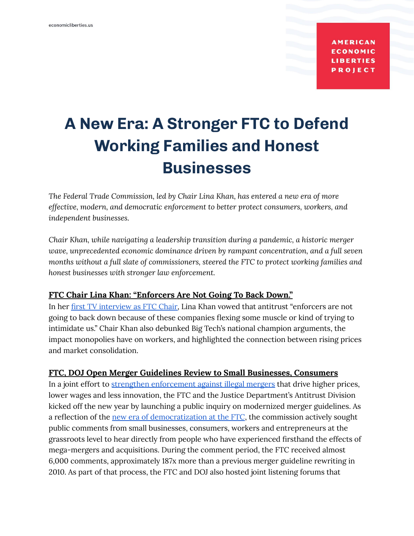**AMERICAN ECONOMIC LIBERTIES PROJECT** 

# **A New Era: A Stronger FTC to Defend Working Families and Honest Businesses**

*The Federal Trade Commission, led by Chair Lina Khan, has entered a new era of more effective, modern, and democratic enforcement to better protect consumers, workers, and independent businesses.*

*Chair Khan, while navigating a leadership transition during a pandemic, a historic merger wave, unprecedented economic dominance driven by rampant concentration, and a full seven months without a full slate of commissioners, steered the FTC to protect working families and honest businesses with stronger law enforcement.*

#### **FTC Chair Lina Khan: "Enforcers Are Not Going To Back Down."**

In her first TV [interview](https://www.youtube.com/watch?v=w1iYGE3PVYA) as FTC Chair, Lina Khan vowed that antitrust "enforcers are not going to back down because of these companies flexing some muscle or kind of trying to intimidate us." Chair Khan also debunked Big Tech's national champion arguments, the impact monopolies have on workers, and highlighted the connection between rising prices and market consolidation.

#### **FTC, DOJ Open Merger Guidelines Review to Small Businesses, Consumers**

In a joint effort to strengthen [enforcement](https://www.reuters.com/world/us/us-antitrust-enforcers-plan-toughen-merger-guidelines-2022-01-18/) against illegal mergers that drive higher prices, lower wages and less innovation, the FTC and the Justice Department's Antitrust Division kicked off the new year by launching a public inquiry on modernized merger guidelines. As a reflection of the new era of [democratization](https://www.economicliberties.us/our-work/factsheet-strengthening-democracy-at-the-ftc/) at the FTC, the commission actively sought public comments from small businesses, consumers, workers and entrepreneurs at the grassroots level to hear directly from people who have experienced firsthand the effects of mega-mergers and acquisitions. During the comment period, the FTC received almost 6,000 comments, approximately 187x more than a previous merger guideline rewriting in 2010. As part of that process, the FTC and DOJ also hosted joint listening forums that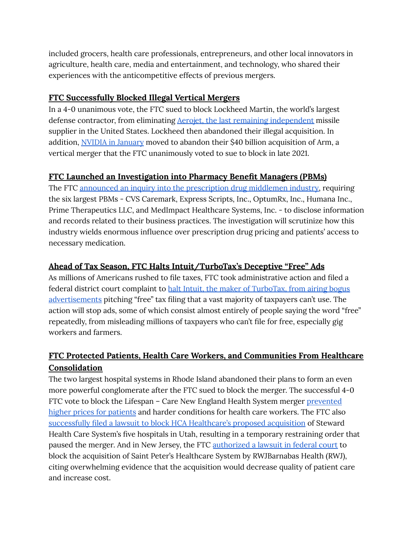included grocers, health care professionals, entrepreneurs, and other local innovators in agriculture, health care, media and entertainment, and technology, who shared their experiences with the anticompetitive effects of previous mergers.

#### **FTC Successfully Blocked Illegal Vertical Mergers**

In a 4-0 unanimous vote, the FTC sued to block Lockheed Martin, the world's largest defense contractor, from eliminating Aerojet, the last remaining [independent](https://breakingdefense.com/2021/03/lockheed-buying-aerojet-is-bad-for-defense/) missile supplier in the United States. Lockheed then abandoned their illegal acquisition. In addition, NVIDIA in [January](https://www.bloomberg.com/news/articles/2022-01-25/nvidia-is-said-to-quietly-prepare-to-abandon-takeover-of-arm?srnd=premium) moved to abandon their \$40 billion acquisition of Arm, a vertical merger that the FTC unanimously voted to sue to block in late 2021.

#### **FTC Launched an Investigation into Pharmacy Benefit Managers (PBMs)**

The FTC announced an inquiry into the [prescription](https://www.modernhealthcare.com/law-regulation/ftc-takes-aim-pbm-business-practices-new-inquiry) drug middlemen industry, requiring the six largest PBMs - CVS Caremark, Express Scripts, Inc., OptumRx, Inc., Humana Inc., Prime Therapeutics LLC, and MedImpact Healthcare Systems, Inc. - to disclose information and records related to their business practices. The investigation will scrutinize how this industry wields enormous influence over prescription drug pricing and patients' access to necessary medication.

## **Ahead of Tax Season, FTC Halts Intuit/TurboTax's Deceptive "Free" Ads**

As millions of Americans rushed to file taxes, FTC took administrative action and filed a federal district court complaint to halt Intuit, the maker of [TurboTax,](https://www.reuters.com/world/us/us-ftc-accuses-intuit-deceptively-advertising-free-tax-filing-2022-03-29/) from airing bogus [advertisements](https://www.reuters.com/world/us/us-ftc-accuses-intuit-deceptively-advertising-free-tax-filing-2022-03-29/) pitching "free" tax filing that a vast majority of taxpayers can't use. The action will stop ads, some of which consist almost entirely of people saying the word "free" repeatedly, from misleading millions of taxpayers who can't file for free, especially gig workers and farmers.

## **FTC Protected Patients, Health Care Workers, and Communities From Healthcare Consolidation**

The two largest hospital systems in Rhode Island abandoned their plans to form an even more powerful conglomerate after the FTC sued to block the merger. The successful 4-0 FTC vote to block the Lifespan – Care New England Health System merger [prevented](https://www.economicliberties.us/press-release/ftc-vote-secured-by-chair-lina-khan-stops-higher-health-care-costs/) higher prices for [patients](https://www.economicliberties.us/press-release/ftc-vote-secured-by-chair-lina-khan-stops-higher-health-care-costs/) and harder conditions for health care workers. The FTC also successfully filed a lawsuit to block HCA [Healthcare's](https://news.bloomberglaw.com/health-law-and-business/hcas-deal-to-buy-stewards-utah-hospitals-on-hold-after-order) proposed acquisition of Steward Health Care System's five hospitals in Utah, resulting in a temporary restraining order that paused the merger. And in New Jersey, the FTC [authorized](https://www.fiercehealthcare.com/providers/ftc-sues-block-two-anticompetitive-hospital-mergers-utah-and-new-jersey) a lawsuit in federal court to block the acquisition of Saint Peter's Healthcare System by RWJBarnabas Health (RWJ), citing overwhelming evidence that the acquisition would decrease quality of patient care and increase cost.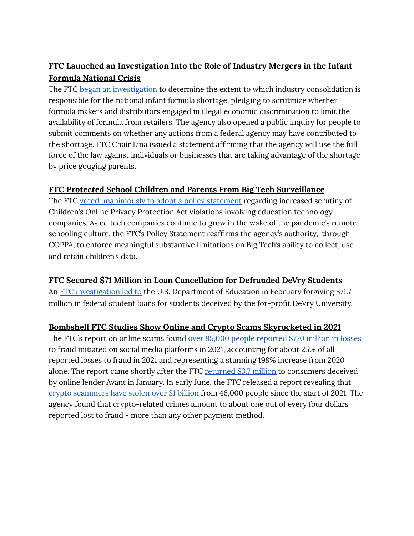# **FTC Launched an Investigation Into the Role of Industry Mergers in the Infant Formula National Crisis**

The FTC began an [investigation](https://www.cnbc.com/2022/05/24/ftc-launches-investigation-into-infant-formula-shortage.html#:~:text=Parents%20across%20the%20country%20have,and%20two%20of%20them%20died.) to determine the extent to which industry consolidation is responsible for the national infant formula shortage, pledging to scrutinize whether formula makers and distributors engaged in illegal economic discrimination to limit the availability of formula from retailers. The agency also opened a public inquiry for people to submit comments on whether any actions from a federal agency may have contributed to the shortage. FTC Chair Lina issued a statement affirming that the agency will use the full force of the law against individuals or businesses that are taking advantage of the shortage by price gouging parents.

#### **FTC Protected School Children and Parents From Big Tech Surveillance**

The FTC voted [unanimously](https://news.bloomberglaw.com/privacy-and-data-security/edtech-tools-gathering-data-must-guard-kids-privacy-ftc-warns) to adopt a policy statement regarding increased scrutiny of Children's Online Privacy Protection Act violations involving education technology companies. As ed tech companies continue to grow in the wake of the pandemic's remote schooling culture, the FTC's Policy Statement reaffirms the agency's authority, through COPPA, to enforce meaningful substantive limitations on Big Tech's ability to collect, use and retain children's data.

## **FTC Secured \$71 Million in Loan Cancellation for Defrauded DeVry Students**

An FTC [investigation](https://www.nytimes.com/2022/02/16/business/student-loans-devry-university.html) led to the U.S. Department of Education in February forgiving \$71.7 million in federal student loans for students deceived by the for-profit DeVry University.

## **Bombshell FTC Studies Show Online and Crypto Scams Skyrocketed in 2021**

The FTC's report on online scams found over 95,000 people [reported](https://www.ftc.gov/news-events/blogs/data-spotlight/2022/01/social-media-gold-mine-scammers-2021#footnote1) \$770 million in losses to fraud initiated on social media platforms in 2021, accounting for about 25% of all reported losses to fraud in 2021 and representing a stunning 198% increase from 2020 alone. The report came shortly after the FTC [returned](https://www.ctpost.com/business/article/100-CT-consumers-get-paid-in-lending-company-16807323.php) \$3.7 million to consumers deceived by online lender Avant in January. In early June, the FTC released a report revealing tha[t](https://www.cnbc.com/2022/06/03/crypto-scams-cost-people-more-than-1-billion-since-2021-ftc.html) crypto [scammers](https://www.cnbc.com/2022/06/03/crypto-scams-cost-people-more-than-1-billion-since-2021-ftc.html) have stolen over \$1 billion from 46,000 people since the start of 2021. The agency found that crypto-related crimes amount to about one out of every four dollars reported lost to fraud - more than any other payment method.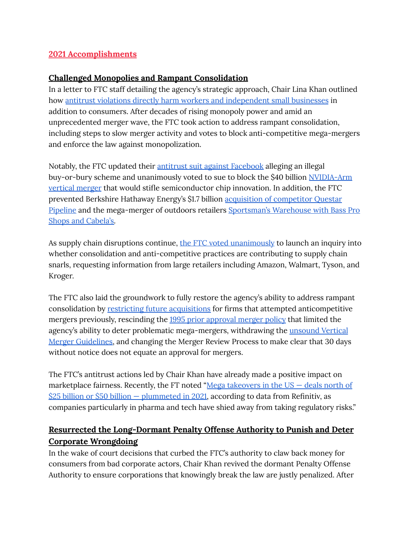#### **2021 Accomplishments**

#### **Challenged Monopolies and Rampant Consolidation**

In a letter to FTC staff detailing the agency's strategic approach, Chair Lina Khan outlined how antitrust violations directly harm workers and [independent](https://www.ftc.gov/system/files/documents/public_statements/1596664/agency_priorities_memo_from_chair_lina_m_khan_9-22-21.pdf) small businesses in addition to consumers. After decades of rising monopoly power and amid an unprecedented merger wave, the FTC took action to address rampant consolidation, including steps to slow merger activity and votes to block anti-competitive mega-mergers and enforce the law against monopolization.

Notably, the FTC updated their antitrust suit against [Facebook](https://www.reuters.com/legal/litigation/us-ftc-expected-file-amended-complaint-against-facebook-2021-08-19/) alleging an illegal buy-or-bury scheme and unanimously voted to sue to block the \$40 billion [NVIDIA-Arm](https://www.theverge.com/2021/12/2/22814633/nvidia-arm-purchase-semiconductor-ftc-40-billion-lawsuit-block-deal) [vertical](https://www.theverge.com/2021/12/2/22814633/nvidia-arm-purchase-semiconductor-ftc-40-billion-lawsuit-block-deal) merger that would stifle semiconductor chip innovation. In addition, the FTC prevented Berkshire Hathaway Energy's \$1.7 billion acquisition of [competitor](https://www.ftc.gov/news-events/press-releases/2021/07/statement-regarding-berkshire-hathaway-energys-termination) Questar [Pipeline](https://www.ftc.gov/news-events/press-releases/2021/07/statement-regarding-berkshire-hathaway-energys-termination) and the mega-merger of outdoors retailers [Sportsman's](https://www.reuters.com/markets/deals/sportsmans-warehouse-ends-merger-with-great-outdoors-over-ftc-clearance-concerns-2021-12-03/) Warehouse with Bass Pro Shops and [Cabela's.](https://www.reuters.com/markets/deals/sportsmans-warehouse-ends-merger-with-great-outdoors-over-ftc-clearance-concerns-2021-12-03/)

As supply chain disruptions continue, the FTC voted [unanimously](https://www.ftc.gov/news-events/press-releases/2021/11/ftc-launches-inquiry-supply-chain-disruptions) to launch an inquiry into whether consolidation and anti-competitive practices are contributing to supply chain snarls, requesting information from large retailers including Amazon, Walmart, Tyson, and Kroger.

The FTC also laid the groundwork to fully restore the agency's ability to address rampant consolidation by restricting future [acquisitions](https://www.marketwatch.com/story/ftc-to-restrict-future-deals-that-pursue-anticompetitive-mergers-11635191973) for firms that attempted anticompetitive mergers previously, rescinding the 1995 prior [approval](https://www.ftc.gov/news-events/press-releases/2021/07/ftc-rescinds-1995-policy-statement-limited-agencys-ability-deter) merger policy that limited the agency's ability to deter problematic mega-mergers, withdrawing the **[unsound](https://www.ftc.gov/news-events/press-releases/2021/09/federal-trade-commission-withdraws-vertical-merger-guidelines) Vertical** Merger [Guidelines,](https://www.ftc.gov/news-events/press-releases/2021/09/federal-trade-commission-withdraws-vertical-merger-guidelines) and changing the Merger Review Process to make clear that 30 days without notice does not equate an approval for mergers.

The FTC's antitrust actions led by Chair Khan have already made a positive impact on marketplace fairness. Recently, the FT noted "Mega [takeovers](https://www.ft.com/content/03a2df73-da6a-4bc5-b242-dd3ea71bcd6a) in the  $US -$  deals north of  $$25$  billion or \$50 billion – [plummeted](https://www.ft.com/content/03a2df73-da6a-4bc5-b242-dd3ea71bcd6a) in 2021, according to data from Refinitiv, as companies particularly in pharma and tech have shied away from taking regulatory risks."

## **Resurrected the Long-Dormant Penalty Offense Authority to Punish and Deter Corporate Wrongdoing**

In the wake of court decisions that curbed the FTC's authority to claw back money for consumers from bad corporate actors, Chair Khan revived the dormant Penalty Offense Authority to ensure corporations that knowingly break the law are justly penalized. After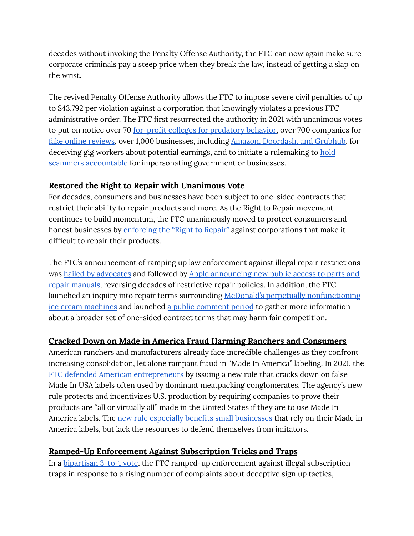decades without invoking the Penalty Offense Authority, the FTC can now again make sure corporate criminals pay a steep price when they break the law, instead of getting a slap on the wrist.

The revived Penalty Offense Authority allows the FTC to impose severe civil penalties of up to \$43,792 per violation against a corporation that knowingly violates a previous FTC administrative order. The FTC first resurrected the authority in 2021 with unanimous votes to put on notice over 70 for-profit colleges for [predatory](https://www.foxbusiness.com/technology/federal-trade-commission-cracks-profit-education) behavior, over 700 companies for fake online [reviews,](https://nypost.com/2021/10/14/federal-trade-commission-to-crack-down-on-fake-online-business-reviews/) over 1,000 businesses, including Amazon, [Doordash,](https://www.marketwatch.com/story/ftc-warns-amazon-gig-companies-over-false-money-making-claims-11635281002) and Grubhub, for deceiving gig workers about potential earnings, and to initiate a rulemaking to [hold](https://www.ftc.gov/news-events/press-releases/2021/12/ftc-launches-rulemaking-combat-sharp-spike-impersonation-fraud) scammers [accountable](https://www.ftc.gov/news-events/press-releases/2021/12/ftc-launches-rulemaking-combat-sharp-spike-impersonation-fraud) for impersonating government or businesses.

#### **Restored the Right to Repair with Unanimous Vote**

For decades, consumers and businesses have been subject to one-sided contracts that restrict their ability to repair products and more. As the Right to Repair movement continues to build momentum, the FTC unanimously moved to protect consumers and honest businesses by [enforcing](https://www.wired.com/story/ftc-votes-to-enforce-right-to-repair/) the "Right to Repair" against corporations that make it difficult to repair their products.

The FTC's announcement of ramping up law enforcement against illegal repair restrictions was hailed by [advocates](https://uspirg.org/news/usp/release-ftc-crack-down-companies-anti-repair-restrictions) and followed by Apple [announcing](https://www.protocol.com/policy/apple-right-to-repair-ftc) new public access to parts and repair [manuals](https://www.protocol.com/policy/apple-right-to-repair-ftc), reversing decades of restrictive repair policies. In addition, the FTC launched an inquiry into repair terms surrounding McDonald's perpetually [nonfunctioning](https://www.wsj.com/articles/mcdonalds-mcflurry-machine-is-broken-again-now-the-ftc-is-on-it-11630522266) ice cream [machines](https://www.wsj.com/articles/mcdonalds-mcflurry-machine-is-broken-again-now-the-ftc-is-on-it-11630522266) and launched a public [comment](https://www.regulations.gov/docket/FTC-2021-0036) period to gather more information about a broader set of one-sided contract terms that may harm fair competition.

## **Cracked Down on Made in America Fraud Harming Ranchers and Consumers**

American ranchers and manufacturers already face incredible challenges as they confront increasing consolidation, let alone rampant fraud in "Made In America" labeling. In 2021, the FTC defended American [entrepreneurs](https://www.natlawreview.com/article/ftc-issues-rule-to-deter-rampant-made-usa-fraud) by issuing a new rule that cracks down on false Made In USA labels often used by dominant meatpacking conglomerates. The agency's new rule protects and incentivizes U.S. production by requiring companies to prove their products are "all or virtually all" made in the United States if they are to use Made In America labels. The new rule especially benefits small [businesses](https://www.ftc.gov/news-events/press-releases/2021/07/ftc-issues-rule-deter-rampant-made-usa-fraud) that rely on their Made in America labels, but lack the resources to defend themselves from imitators.

## **Ramped-Up Enforcement Against Subscription Tricks and Traps**

In a [bipartisan](https://www.washingtonpost.com/business/2021/06/02/automatic-renewals-ftc-subscriptions/) 3-to-1 vote, the FTC ramped-up enforcement against illegal subscription traps in response to a rising number of complaints about deceptive sign up tactics,